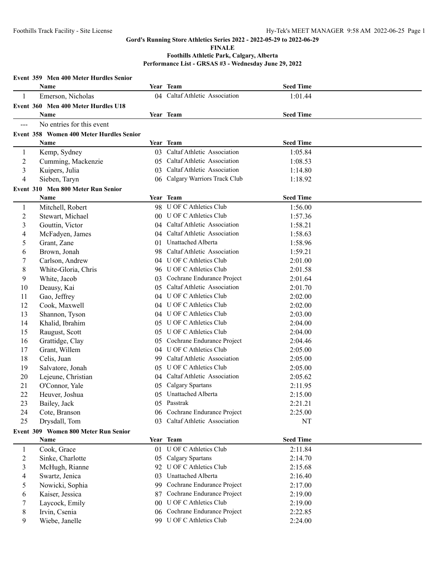**FINALE**

|                      | Event 359 Men 400 Meter Hurdles Senior   |                |                                                            |                  |  |
|----------------------|------------------------------------------|----------------|------------------------------------------------------------|------------------|--|
|                      | Name                                     |                | Year Team                                                  | <b>Seed Time</b> |  |
| 1                    | Emerson, Nicholas                        |                | 04 Caltaf Athletic Association                             | 1:01.44          |  |
|                      | Event 360 Men 400 Meter Hurdles U18      |                |                                                            |                  |  |
|                      | <b>Name</b>                              |                | Year Team                                                  | <b>Seed Time</b> |  |
| $\sim$ $\sim$ $\sim$ | No entries for this event                |                |                                                            |                  |  |
|                      | Event 358 Women 400 Meter Hurdles Senior |                |                                                            |                  |  |
|                      | Name                                     |                | Year Team                                                  | <b>Seed Time</b> |  |
| 1                    | Kemp, Sydney                             | 03.            | Caltaf Athletic Association                                | 1:05.84          |  |
| $\overline{2}$       | Cumming, Mackenzie                       |                | 05 Caltaf Athletic Association                             | 1:08.53          |  |
| 3                    | Kuipers, Julia                           | 03             | Caltaf Athletic Association                                | 1:14.80          |  |
| 4                    | Sieben, Taryn                            |                | 06 Calgary Warriors Track Club                             | 1:18.92          |  |
|                      | Event 310 Men 800 Meter Run Senior       |                |                                                            |                  |  |
|                      | Name                                     |                | Year Team                                                  | <b>Seed Time</b> |  |
| $\mathbf{1}$         | Mitchell, Robert                         |                | 98 U OF C Athletics Club                                   | 1:56.00          |  |
| $\overline{c}$       | Stewart, Michael                         |                | 00 U OF C Athletics Club                                   | 1:57.36          |  |
| 3                    | Gouttin, Victor                          |                | 04 Caltaf Athletic Association                             | 1:58.21          |  |
| 4                    | McFadyen, James                          | $04^{\circ}$   | Caltaf Athletic Association                                | 1:58.63          |  |
| 5                    | Grant, Zane                              |                | 01 Unattached Alberta                                      | 1:58.96          |  |
| 6                    | Brown, Jonah                             |                | 98 Caltaf Athletic Association                             | 1:59.21          |  |
| 7                    | Carlson, Andrew                          |                | 04 U OF C Athletics Club                                   | 2:01.00          |  |
| 8                    | White-Gloria, Chris                      |                | 96 U OF C Athletics Club                                   | 2:01.58          |  |
| 9                    | White, Jacob                             | 0 <sup>3</sup> | Cochrane Endurance Project                                 | 2:01.64          |  |
| 10                   | Deausy, Kai                              | 05             | Caltaf Athletic Association                                | 2:01.70          |  |
| 11                   | Gao, Jeffrey                             |                | 04 U OF C Athletics Club                                   | 2:02.00          |  |
| 12                   | Cook, Maxwell                            |                | 04 U OF C Athletics Club                                   | 2:02.00          |  |
| 13                   | Shannon, Tyson                           |                | 04 U OF C Athletics Club                                   | 2:03.00          |  |
| 14                   | Khalid, Ibrahim                          | 05             | U OF C Athletics Club                                      | 2:04.00          |  |
| 15                   | Raugust, Scott                           | 05             | <b>U OF C Athletics Club</b>                               | 2:04.00          |  |
| 16                   | Grattidge, Clay                          | 05             | Cochrane Endurance Project                                 | 2:04.46          |  |
| 17                   | Grant, Willem                            | (14)           | <b>U OF C Athletics Club</b>                               | 2:05.00          |  |
| 18                   | Celis, Juan                              | 99.            | Caltaf Athletic Association                                | 2:05.00          |  |
| 19                   | Salvatore, Jonah                         | 05             | U OF C Athletics Club                                      | 2:05.00          |  |
| 20                   | Lejeune, Christian                       |                | 04 Caltaf Athletic Association                             | 2:05.62          |  |
| 21                   | O'Connor, Yale                           |                | 05 Calgary Spartans                                        | 2:11.95          |  |
| 22                   | Heuver, Joshua                           |                | 05 Unattached Alberta                                      | 2:15.00          |  |
| 23                   | Bailey, Jack                             |                | 05 Passtrak                                                | 2:21.21          |  |
| 24                   | Cote, Branson                            |                | 06 Cochrane Endurance Project                              | 2:25.00          |  |
| 25                   | Drysdall, Tom                            | 03.            | Caltaf Athletic Association                                | NT               |  |
|                      | Event 309 Women 800 Meter Run Senior     |                |                                                            |                  |  |
|                      | Name                                     |                | Year Team                                                  | <b>Seed Time</b> |  |
| $\mathbf{1}$         | Cook, Grace                              |                | 01 U OF C Athletics Club                                   | 2:11.84          |  |
| 2                    | Sinke, Charlotte                         |                | 05 Calgary Spartans                                        | 2:14.70          |  |
| 3                    | McHugh, Rianne                           |                | 92 U OF C Athletics Club                                   | 2:15.68          |  |
| 4                    | Swartz, Jenica                           | 03             | Unattached Alberta                                         | 2:16.40          |  |
| 5                    | Nowicki, Sophia                          | 99.            | Cochrane Endurance Project                                 | 2:17.00          |  |
| 6                    | Kaiser, Jessica                          | 87             | Cochrane Endurance Project<br><b>U OF C Athletics Club</b> | 2:19.00          |  |
| 7                    | Laycock, Emily                           | 00             |                                                            | 2:19.00          |  |
| 8                    | Irvin, Csenia                            | 06             | Cochrane Endurance Project                                 | 2:22.85          |  |
| 9                    | Wiebe, Janelle                           |                | 99 U OF C Athletics Club                                   | 2:24.00          |  |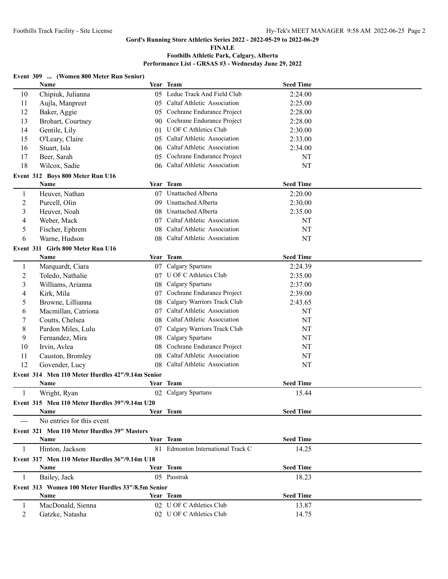**FINALE**

|  | Event 309  (Women 800 Meter Run Senior) |  |
|--|-----------------------------------------|--|
|--|-----------------------------------------|--|

|                | Name                                              |    | Year Team                         | <b>Seed Time</b> |  |
|----------------|---------------------------------------------------|----|-----------------------------------|------------------|--|
| 10             | Chipiuk, Julianna                                 |    | 05 Leduc Track And Field Club     | 2:24.00          |  |
| 11             | Aujla, Manpreet                                   |    | 05 Caltaf Athletic Association    | 2:25.00          |  |
| 12             | Baker, Aggie                                      |    | 05 Cochrane Endurance Project     | 2:28.00          |  |
| 13             | Brohart, Courtney                                 |    | 90 Cochrane Endurance Project     | 2:28.00          |  |
| 14             | Gentile, Lily                                     |    | 01 U OF C Athletics Club          | 2:30.00          |  |
| 15             | O'Leary, Claire                                   |    | 05 Caltaf Athletic Association    | 2:33.00          |  |
| 16             | Stuart, Isla                                      |    | 06 Caltaf Athletic Association    | 2:34.00          |  |
| 17             | Beer, Sarah                                       | 05 | Cochrane Endurance Project        | NT               |  |
| 18             | Wilcox, Sadie                                     |    | 06 Caltaf Athletic Association    | NT               |  |
|                | Event 312 Boys 800 Meter Run U16                  |    |                                   |                  |  |
|                | Name                                              |    | Year Team                         | <b>Seed Time</b> |  |
| $\mathbf{1}$   | Heuver, Nathan                                    |    | 07 Unattached Alberta             | 2:20.00          |  |
| $\overline{c}$ | Purcell, Olin                                     | 09 | <b>Unattached Alberta</b>         | 2:30.00          |  |
| 3              | Heuver, Noah                                      | 08 | Unattached Alberta                | 2:35.00          |  |
| 4              | Weber, Mack                                       |    | 07 Caltaf Athletic Association    | NT               |  |
| 5              | Fischer, Ephrem                                   |    | 08 Caltaf Athletic Association    | NT               |  |
| 6              | Warne, Hudson                                     |    | 08 Caltaf Athletic Association    | NT               |  |
|                | Event 311 Girls 800 Meter Run U16                 |    |                                   |                  |  |
|                | Name                                              |    | Year Team                         | <b>Seed Time</b> |  |
| $\mathbf{1}$   | Marquardt, Ciara                                  |    | 07 Calgary Spartans               | 2:24.39          |  |
| $\overline{c}$ | Toledo, Nathalie                                  |    | 07 U OF C Athletics Club          | 2:35.00          |  |
| 3              | Williams, Arianna                                 | 08 | <b>Calgary Spartans</b>           | 2:37.00          |  |
| 4              | Kirk, Mila                                        | 07 | Cochrane Endurance Project        | 2:39.00          |  |
| 5              | Browne, Lillianna                                 | 08 | Calgary Warriors Track Club       | 2:43.65          |  |
| 6              | Macmillan, Catriona                               | 07 | Caltaf Athletic Association       | NT               |  |
| 7              | Coutts, Chelsea                                   | 08 | Caltaf Athletic Association       | NT               |  |
| 8              | Pardon Miles, Lulu                                | 07 | Calgary Warriors Track Club       | NT               |  |
| 9              | Fernandez, Mira                                   | 08 | Calgary Spartans                  | NT               |  |
| 10             | Irvin, Avlea                                      | 08 | Cochrane Endurance Project        | NT               |  |
| 11             | Causton, Bromley                                  | 08 | Caltaf Athletic Association       | NT               |  |
| 12             | Govender, Lucy                                    |    | 08 Caltaf Athletic Association    | NT               |  |
|                | Event 314 Men 110 Meter Hurdles 42"/9.14m Senior  |    |                                   |                  |  |
|                | Name                                              |    | Year Team                         | <b>Seed Time</b> |  |
| 1              | Wright, Ryan                                      |    | 02 Calgary Spartans               | 15.44            |  |
|                | Event 315 Men 110 Meter Hurdles 39"/9.14m U20     |    |                                   |                  |  |
|                | Name                                              |    | Year Team                         | <b>Seed Time</b> |  |
|                | No entries for this event                         |    |                                   |                  |  |
|                | Event 321 Men 110 Meter Hurdles 39" Masters       |    |                                   |                  |  |
|                | Name                                              |    | Year Team                         | <b>Seed Time</b> |  |
| 1              | Hinton, Jackson                                   |    | 81 Edmonton International Track C | 14.25            |  |
|                | Event 317 Men 110 Meter Hurdles 36"/9.14m U18     |    |                                   |                  |  |
|                | Name                                              |    | Year Team                         | <b>Seed Time</b> |  |
| -1             | Bailey, Jack                                      |    | 05 Passtrak                       | 18.23            |  |
|                | Event 313 Women 100 Meter Hurdles 33"/8.5m Senior |    |                                   |                  |  |
|                | Name                                              |    | Year Team                         | <b>Seed Time</b> |  |
| 1              | MacDonald, Sienna                                 |    | 02 U OF C Athletics Club          | 13.87            |  |
| 2              | Gatzke, Natasha                                   |    | 02 U OF C Athletics Club          | 14.75            |  |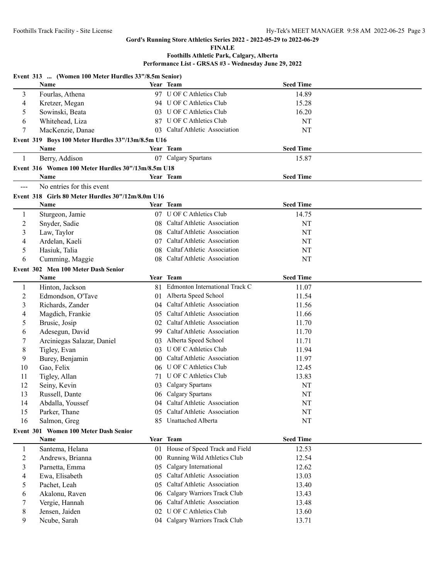#### **FINALE**

|                | Event 313  (Women 100 Meter Hurdles 33"/8.5m Senior) |     |                                   |                  |  |
|----------------|------------------------------------------------------|-----|-----------------------------------|------------------|--|
|                | Name                                                 |     | Year Team                         | <b>Seed Time</b> |  |
| 3              | Fourlas, Athena                                      |     | 97 U OF C Athletics Club          | 14.89            |  |
| 4              | Kretzer, Megan                                       |     | 94 U OF C Athletics Club          | 15.28            |  |
| 5              | Sowinski, Beata                                      |     | 03 U OF C Athletics Club          | 16.20            |  |
| 6              | Whitehead, Liza                                      |     | 87 U OF C Athletics Club          | NT               |  |
| 7              | MacKenzie, Danae                                     |     | 03 Caltaf Athletic Association    | NT               |  |
|                | Event 319 Boys 100 Meter Hurdles 33"/13m/8.5m U16    |     |                                   |                  |  |
|                | Name                                                 |     | Year Team                         | <b>Seed Time</b> |  |
| 1              | Berry, Addison                                       |     | 07 Calgary Spartans               | 15.87            |  |
|                | Event 316 Women 100 Meter Hurdles 30"/13m/8.5m U18   |     |                                   |                  |  |
|                | Name                                                 |     | Year Team                         | <b>Seed Time</b> |  |
| ---            | No entries for this event                            |     |                                   |                  |  |
|                |                                                      |     |                                   |                  |  |
|                | Event 318 Girls 80 Meter Hurdles 30"/12m/8.0m U16    |     | Year Team                         | <b>Seed Time</b> |  |
|                | Name                                                 |     |                                   |                  |  |
| 1              | Sturgeon, Jamie                                      |     | 07 U OF C Athletics Club          | 14.75            |  |
| $\overline{2}$ | Snyder, Sadie                                        |     | 08 Caltaf Athletic Association    | NT               |  |
| 3              | Law, Taylor                                          |     | 08 Caltaf Athletic Association    | NT               |  |
| 4              | Ardelan, Kaeli                                       |     | 07 Caltaf Athletic Association    | NT               |  |
| 5              | Hasiuk, Talia                                        |     | 08 Caltaf Athletic Association    | NT               |  |
| 6              | Cumming, Maggie                                      |     | 08 Caltaf Athletic Association    | NT               |  |
|                | Event 302 Men 100 Meter Dash Senior                  |     |                                   |                  |  |
|                | <b>Name</b>                                          |     | Year Team                         | <b>Seed Time</b> |  |
| $\mathbf{1}$   | Hinton, Jackson                                      |     | 81 Edmonton International Track C | 11.07            |  |
| 2              | Edmondson, O'Tave                                    |     | 01 Alberta Speed School           | 11.54            |  |
| 3              | Richards, Zander                                     |     | 04 Caltaf Athletic Association    | 11.56            |  |
| 4              | Magdich, Frankie                                     |     | 05 Caltaf Athletic Association    | 11.66            |  |
| 5              | Brusic, Josip                                        |     | 02 Caltaf Athletic Association    | 11.70            |  |
| 6              | Adesegun, David                                      |     | 99 Caltaf Athletic Association    | 11.70            |  |
| 7              | Arciniegas Salazar, Daniel                           |     | 03 Alberta Speed School           | 11.71            |  |
| 8              | Tigley, Evan                                         |     | 03 U OF C Athletics Club          | 11.94            |  |
| 9              | Burey, Benjamin                                      |     | 00 Caltaf Athletic Association    | 11.97            |  |
| 10             | Gao, Felix                                           |     | 06 U OF C Athletics Club          | 12.45            |  |
| 11             | Tigley, Allan                                        |     | 71 U OF C Athletics Club          | 13.83            |  |
| 12             | Seiny, Kevin                                         |     | 03 Calgary Spartans               | NT               |  |
| 13             | Russell, Dante                                       |     | 06 Calgary Spartans               | NT               |  |
| 14             | Abdalla, Youssef                                     |     | 04 Caltaf Athletic Association    | NT               |  |
| 15             | Parker, Thane                                        | 05  | Caltaf Athletic Association       | NT               |  |
| 16             | Salmon, Greg                                         |     | 85 Unattached Alberta             | NT               |  |
|                | Event 301 Women 100 Meter Dash Senior                |     |                                   |                  |  |
|                | Name                                                 |     | Year Team                         | <b>Seed Time</b> |  |
| $\mathbf{1}$   | Santema, Helana                                      |     | 01 House of Speed Track and Field | 12.53            |  |
| $\overline{c}$ | Andrews, Brianna                                     |     | 00 Running Wild Athletics Club    | 12.54            |  |
| 3              | Parnetta, Emma                                       | 05  | Calgary International             | 12.62            |  |
| 4              | Ewa, Elisabeth                                       | 05  | Caltaf Athletic Association       | 13.03            |  |
| 5              | Pachet, Leah                                         | 0.5 | Caltaf Athletic Association       | 13.40            |  |
|                | Akalonu, Raven                                       |     | 06 Calgary Warriors Track Club    |                  |  |
| 6              |                                                      |     | Caltaf Athletic Association       | 13.43<br>13.48   |  |
| 7              | Vergie, Hannah                                       | 06  | 02 U OF C Athletics Club          |                  |  |
| 8              | Jensen, Jaiden                                       |     |                                   | 13.60            |  |
| 9              | Ncube, Sarah                                         |     | 04 Calgary Warriors Track Club    | 13.71            |  |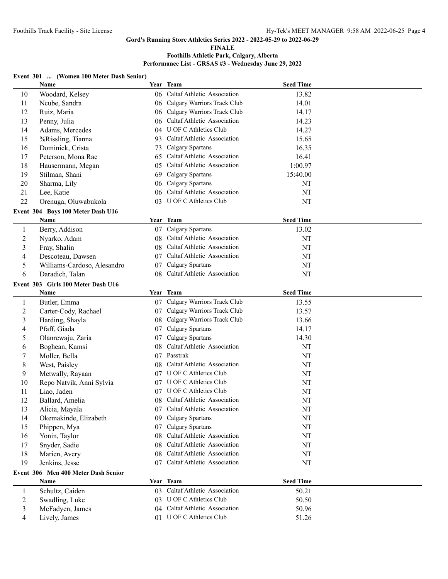**FINALE**

## **Foothills Athletic Park, Calgary, Alberta**

**Performance List - GRSAS #3 - Wednesday June 29, 2022**

## **Event 301 ... (Women 100 Meter Dash Senior)**

|                | Name                                |     | Year Team                                          | <b>Seed Time</b> |  |
|----------------|-------------------------------------|-----|----------------------------------------------------|------------------|--|
| 10             | Woodard, Kelsey                     |     | 06 Caltaf Athletic Association                     | 13.82            |  |
| 11             | Ncube, Sandra                       | 06  | Calgary Warriors Track Club                        | 14.01            |  |
| 12             | Ruiz, Maria                         | 06  | Calgary Warriors Track Club                        | 14.17            |  |
| 13             | Penny, Julia                        | 06  | Caltaf Athletic Association                        | 14.23            |  |
| 14             | Adams, Mercedes                     |     | 04 U OF C Athletics Club                           | 14.27            |  |
| 15             | %Rissling, Tianna                   | 93  | Caltaf Athletic Association                        | 15.65            |  |
| 16             | Dominick, Crista                    | 73  | Calgary Spartans                                   | 16.35            |  |
| 17             | Peterson, Mona Rae                  | 65  | Caltaf Athletic Association                        | 16.41            |  |
| 18             | Hausermann, Megan                   | 05  | Caltaf Athletic Association                        | 1:00.97          |  |
| 19             | Stilman, Shani                      | 69  | Calgary Spartans                                   | 15:40.00         |  |
| 20             | Sharma, Lily                        | 06. | Calgary Spartans                                   | NT               |  |
| 21             | Lee, Katie                          |     | 06 Caltaf Athletic Association                     | NT               |  |
| 22             | Orenuga, Oluwabukola                |     | 03 U OF C Athletics Club                           | NT               |  |
|                | Event 304 Boys 100 Meter Dash U16   |     |                                                    |                  |  |
|                | Name                                |     | Year Team                                          | <b>Seed Time</b> |  |
| $\mathbf{1}$   | Berry, Addison                      |     | 07 Calgary Spartans                                | 13.02            |  |
| $\overline{2}$ | Nyarko, Adam                        |     | 08 Caltaf Athletic Association                     | NT               |  |
| $\mathfrak{Z}$ |                                     |     | 08 Caltaf Athletic Association                     | NT               |  |
|                | Fray, Shalin<br>Descoteau, Dawsen   |     | 07 Caltaf Athletic Association                     | NT               |  |
| 4              |                                     |     |                                                    |                  |  |
| 5              | Williams-Cardoso, Alesandro         |     | 07 Calgary Spartans<br>Caltaf Athletic Association | NT               |  |
| 6              | Daradich, Talan                     | 08  |                                                    | NT               |  |
|                | Event 303 Girls 100 Meter Dash U16  |     |                                                    |                  |  |
|                | Name                                |     | Year Team                                          | <b>Seed Time</b> |  |
| $\mathbf{1}$   | Butler, Emma                        |     | 07 Calgary Warriors Track Club                     | 13.55            |  |
| $\overline{c}$ | Carter-Cody, Rachael                | 07. | Calgary Warriors Track Club                        | 13.57            |  |
| 3              | Harding, Shayla                     | 08  | Calgary Warriors Track Club                        | 13.66            |  |
| 4              | Pfaff, Giada                        | 07  | Calgary Spartans                                   | 14.17            |  |
| 5              | Olanrewaju, Zaria                   | 07  | Calgary Spartans                                   | 14.30            |  |
| 6              | Boghean, Kamsi                      | 08  | Caltaf Athletic Association                        | NT               |  |
| 7              | Moller, Bella                       |     | 07 Passtrak                                        | NT               |  |
| 8              | West, Paisley                       | 08  | Caltaf Athletic Association                        | NT               |  |
| 9              | Metwally, Rayaan                    |     | 07 U OF C Athletics Club                           | NT               |  |
| 10             | Repo Natvik, Anni Sylvia            |     | 07 U OF C Athletics Club                           | NT               |  |
| 11             | Liao, Jaden                         |     | 07 U OF C Athletics Club                           | NT               |  |
| 12             | Ballard, Amelia                     |     | 08 Caltaf Athletic Association                     | NT               |  |
| 13             | Alicia, Mayala                      |     | 07 Caltaf Athletic Association                     | $\rm{NT}$        |  |
| 14             | Okemakinde, Elizabeth               |     | 09 Calgary Spartans                                | NT               |  |
| 15             | Phippen, Mya                        | 07  | Calgary Spartans                                   | NT               |  |
| 16             | Yonin, Taylor                       | 08  | Caltaf Athletic Association                        | NT               |  |
| 17             | Snyder, Sadie                       | 08. | Caltaf Athletic Association                        | NT               |  |
| 18             | Marien, Avery                       | 08  | Caltaf Athletic Association                        | NT               |  |
| 19             | Jenkins, Jesse                      |     | 07 Caltaf Athletic Association                     | NT               |  |
|                | Event 306 Men 400 Meter Dash Senior |     |                                                    |                  |  |
|                | Name                                |     | Year Team                                          | <b>Seed Time</b> |  |
| $\mathbf{1}$   | Schultz, Caiden                     |     | 03 Caltaf Athletic Association                     | 50.21            |  |
| $\overline{c}$ | Swadling, Luke                      |     | 03 U OF C Athletics Club                           | 50.50            |  |
| 3              | McFadyen, James                     |     | 04 Caltaf Athletic Association                     | 50.96            |  |
| 4              | Lively, James                       |     | 01 U OF C Athletics Club                           | 51.26            |  |
|                |                                     |     |                                                    |                  |  |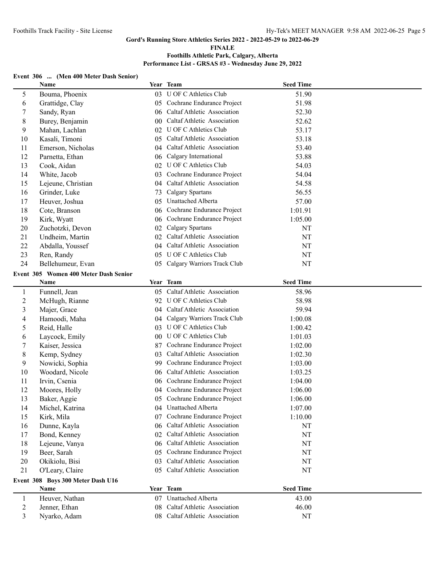#### **FINALE**

## **Foothills Athletic Park, Calgary, Alberta Performance List - GRSAS #3 - Wednesday June 29, 2022**

## **Event 306 ... (Men 400 Meter Dash Senior)**

|                | Name                                  |                 | Year Team                      | <b>Seed Time</b> |  |
|----------------|---------------------------------------|-----------------|--------------------------------|------------------|--|
| 5              | Bouma, Phoenix                        | 03              | <b>U OF C Athletics Club</b>   | 51.90            |  |
| 6              | Grattidge, Clay                       |                 | 05 Cochrane Endurance Project  | 51.98            |  |
| 7              | Sandy, Ryan                           |                 | 06 Caltaf Athletic Association | 52.30            |  |
| 8              | Burey, Benjamin                       | 00 <sup>1</sup> | Caltaf Athletic Association    | 52.62            |  |
| 9              | Mahan, Lachlan                        |                 | 02 U OF C Athletics Club       | 53.17            |  |
| 10             | Kasali, Timoni                        |                 | 05 Caltaf Athletic Association | 53.18            |  |
| 11             | Emerson, Nicholas                     | 04              | Caltaf Athletic Association    | 53.40            |  |
| 12             | Parnetta, Ethan                       |                 | 06 Calgary International       | 53.88            |  |
| 13             | Cook, Aidan                           | 02              | <b>U OF C Athletics Club</b>   | 54.03            |  |
| 14             | White, Jacob                          | 03              | Cochrane Endurance Project     | 54.04            |  |
| 15             | Lejeune, Christian                    | 04              | Caltaf Athletic Association    | 54.58            |  |
| 16             | Grinder, Luke                         | 73              | Calgary Spartans               | 56.55            |  |
| 17             | Heuver, Joshua                        | 05              | Unattached Alberta             | 57.00            |  |
| 18             | Cote, Branson                         | 06              | Cochrane Endurance Project     | 1:01.91          |  |
| 19             | Kirk, Wyatt                           | 06              | Cochrane Endurance Project     | 1:05.00          |  |
| 20             | Zuchotzki, Devon                      | 02              | <b>Calgary Spartans</b>        | NT               |  |
| 21             | Undheim, Martin                       |                 | 02 Caltaf Athletic Association | NT               |  |
| 22             | Abdalla, Youssef                      |                 | 04 Caltaf Athletic Association | NT               |  |
| 23             | Ren, Randy                            |                 | 05 U OF C Athletics Club       | NT               |  |
| 24             | Bellehumeur, Evan                     | 05              | Calgary Warriors Track Club    | NT               |  |
|                | Event 305 Women 400 Meter Dash Senior |                 |                                |                  |  |
|                | Name                                  |                 | Year Team                      | <b>Seed Time</b> |  |
| $\mathbf{1}$   | Funnell, Jean                         |                 | 05 Caltaf Athletic Association | 58.96            |  |
| $\overline{c}$ | McHugh, Rianne                        |                 | 92 U OF C Athletics Club       | 58.98            |  |
| 3              | Majer, Grace                          |                 | 04 Caltaf Athletic Association | 59.94            |  |
| 4              | Hamoodi, Maha                         | 04              | Calgary Warriors Track Club    | 1:00.08          |  |
| 5              | Reid, Halle                           | 03              | U OF C Athletics Club          | 1:00.42          |  |
| 6              | Laycock, Emily                        | 00              | U OF C Athletics Club          | 1:01.03          |  |
| 7              | Kaiser, Jessica                       | 87              | Cochrane Endurance Project     | 1:02.00          |  |
| 8              | Kemp, Sydney                          | 03              | Caltaf Athletic Association    | 1:02.30          |  |
| 9              | Nowicki, Sophia                       | 99.             | Cochrane Endurance Project     | 1:03.00          |  |
| 10             | Woodard, Nicole                       | 06              | Caltaf Athletic Association    | 1:03.25          |  |
| 11             | Irvin, Csenia                         | 06              | Cochrane Endurance Project     | 1:04.00          |  |
| 12             | Moores, Holly                         | 04              | Cochrane Endurance Project     | 1:06.00          |  |
| 13             | Baker, Aggie                          |                 | 05 Cochrane Endurance Project  | 1:06.00          |  |
| 14             | Michel, Katrina                       |                 | 04 Unattached Alberta          | 1:07.00          |  |
| 15             | Kirk, Mila                            | 07 <sup>2</sup> | Cochrane Endurance Project     | 1:10.00          |  |
| 16             | Dunne, Kayla                          |                 | 06 Caltaf Athletic Association | NT               |  |
| 17             | Bond, Kenney                          |                 | 02 Caltaf Athletic Association | $\rm{NT}$        |  |
| 18             | Lejeune, Vanya                        |                 | 06 Caltaf Athletic Association | $\rm{NT}$        |  |
| 19             | Beer, Sarah                           | 05              | Cochrane Endurance Project     | $\rm{NT}$        |  |
| 20             | Okikiolu, Bisi                        | 03              | Caltaf Athletic Association    | NT               |  |
| 21             | O'Leary, Claire                       | 05.             | Caltaf Athletic Association    | NT               |  |
|                | Event 308 Boys 300 Meter Dash U16     |                 |                                |                  |  |
|                | Name                                  |                 | Year Team                      | <b>Seed Time</b> |  |
| $\mathbf{1}$   | Heuver, Nathan                        |                 | 07 Unattached Alberta          | 43.00            |  |
| $\overline{c}$ | Jenner, Ethan                         | 08              | Caltaf Athletic Association    | 46.00            |  |
| 3              | Nyarko, Adam                          |                 | 08 Caltaf Athletic Association | NT               |  |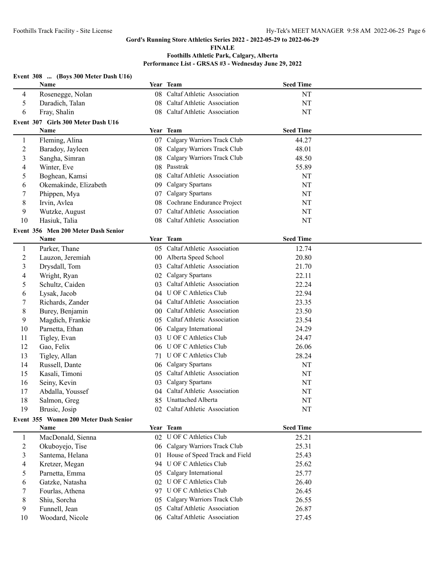#### **FINALE**

|                | Event 308  (Boys 300 Meter Dash U16)  |                 |                                |                  |  |
|----------------|---------------------------------------|-----------------|--------------------------------|------------------|--|
|                | Name                                  |                 | Year Team                      | <b>Seed Time</b> |  |
| 4              | Rosenegge, Nolan                      | 08              | Caltaf Athletic Association    | NT               |  |
| 5              | Daradich, Talan                       | 08              | Caltaf Athletic Association    | NT               |  |
| 6              | Fray, Shalin                          |                 | 08 Caltaf Athletic Association | NT               |  |
|                | Event 307 Girls 300 Meter Dash U16    |                 |                                |                  |  |
|                | Name                                  |                 | Year Team                      | <b>Seed Time</b> |  |
| $\mathbf{1}$   | Fleming, Alina                        |                 | 07 Calgary Warriors Track Club | 44.27            |  |
| $\overline{c}$ | Baradoy, Jayleen                      |                 | 08 Calgary Warriors Track Club | 48.01            |  |
| 3              | Sangha, Simran                        | 08              | Calgary Warriors Track Club    | 48.50            |  |
| 4              | Winter, Eve                           | 08              | Passtrak                       | 55.89            |  |
| 5              | Boghean, Kamsi                        | 08              | Caltaf Athletic Association    | NT               |  |
| 6              | Okemakinde, Elizabeth                 |                 | 09 Calgary Spartans            | NT               |  |
| 7              | Phippen, Mya                          | 07              | Calgary Spartans               | NT               |  |
| 8              | Irvin, Avlea                          | 08              | Cochrane Endurance Project     | NT               |  |
| 9              | Wutzke, August                        | 07              | Caltaf Athletic Association    | NT               |  |
| 10             | Hasiuk, Talia                         | 08              | Caltaf Athletic Association    | NT               |  |
|                | Event 356 Men 200 Meter Dash Senior   |                 |                                |                  |  |
|                | Name                                  |                 | Year Team                      | <b>Seed Time</b> |  |
| $\mathbf{1}$   | Parker, Thane                         |                 | 05 Caltaf Athletic Association | 12.74            |  |
| $\overline{c}$ | Lauzon, Jeremiah                      |                 | 00 Alberta Speed School        | 20.80            |  |
| 3              | Drysdall, Tom                         | 03              | Caltaf Athletic Association    | 21.70            |  |
| 4              | Wright, Ryan                          | 02              | Calgary Spartans               | 22.11            |  |
| 5              | Schultz, Caiden                       | 03              | Caltaf Athletic Association    | 22.24            |  |
| 6              | Lysak, Jacob                          |                 | 04 U OF C Athletics Club       | 22.94            |  |
| 7              | Richards, Zander                      |                 | 04 Caltaf Athletic Association | 23.35            |  |
| 8              | Burey, Benjamin                       | 00 <sup>1</sup> | Caltaf Athletic Association    | 23.50            |  |
| 9              | Magdich, Frankie                      | 05              | Caltaf Athletic Association    | 23.54            |  |
| 10             | Parnetta, Ethan                       | 06              | Calgary International          | 24.29            |  |
| 11             | Tigley, Evan                          | 03              | U OF C Athletics Club          | 24.47            |  |
| 12             | Gao, Felix                            | 06              | <b>U OF C Athletics Club</b>   | 26.06            |  |
| 13             | Tigley, Allan                         | 71              | <b>U OF C Athletics Club</b>   | 28.24            |  |
| 14             | Russell, Dante                        | 06              | <b>Calgary Spartans</b>        | NT               |  |
| 15             | Kasali, Timoni                        | 05              | Caltaf Athletic Association    | NT               |  |
| 16             | Seiny, Kevin                          | 03              | Calgary Spartans               | NT               |  |
| 17             | Abdalla, Youssef                      |                 | 04 Caltaf Athletic Association | NT               |  |
| 18             | Salmon, Greg                          | 85              | Unattached Alberta             | NT               |  |
| 19             | Brusic, Josip                         |                 | 02 Caltaf Athletic Association | NT               |  |
|                | Event 355 Women 200 Meter Dash Senior |                 |                                |                  |  |
|                | Name                                  |                 | Year Team                      | <b>Seed Time</b> |  |
| $\mathbf{1}$   | MacDonald, Sienna                     |                 | 02 U OF C Athletics Club       | 25.21            |  |
| $\overline{c}$ | Okuboyejo, Tise                       |                 | 06 Calgary Warriors Track Club | 25.31            |  |
| 3              | Santema, Helana                       | 01              | House of Speed Track and Field | 25.43            |  |
| 4              | Kretzer, Megan                        | 94              | U OF C Athletics Club          | 25.62            |  |
| 5              | Parnetta, Emma                        | 05              | Calgary International          | 25.77            |  |
| 6              | Gatzke, Natasha                       | 02              | U OF C Athletics Club          | 26.40            |  |
| 7              | Fourlas, Athena                       | 97              | U OF C Athletics Club          | 26.45            |  |
| 8              | Shiu, Sorcha                          | 05              | Calgary Warriors Track Club    | 26.55            |  |
| 9              | Funnell, Jean                         | 05              | Caltaf Athletic Association    | 26.87            |  |
| 10             | Woodard, Nicole                       |                 | 06 Caltaf Athletic Association | 27.45            |  |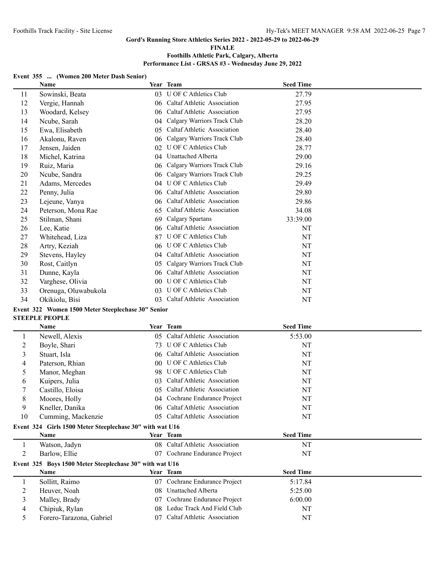**FINALE**

# **Foothills Athletic Park, Calgary, Alberta**

**Performance List - GRSAS #3 - Wednesday June 29, 2022**

#### **Event 355 ... (Women 200 Meter Dash Senior)**

|    | Name                 |    | Year Team                   | <b>Seed Time</b> |  |
|----|----------------------|----|-----------------------------|------------------|--|
| 11 | Sowinski, Beata      | 03 | U OF C Athletics Club       | 27.79            |  |
| 12 | Vergie, Hannah       | 06 | Caltaf Athletic Association | 27.95            |  |
| 13 | Woodard, Kelsey      | 06 | Caltaf Athletic Association | 27.95            |  |
| 14 | Ncube, Sarah         | 04 | Calgary Warriors Track Club | 28.20            |  |
| 15 | Ewa, Elisabeth       | 05 | Caltaf Athletic Association | 28.40            |  |
| 16 | Akalonu, Raven       | 06 | Calgary Warriors Track Club | 28.40            |  |
| 17 | Jensen, Jaiden       | 02 | U OF C Athletics Club       | 28.77            |  |
| 18 | Michel, Katrina      | 04 | Unattached Alberta          | 29.00            |  |
| 19 | Ruiz, Maria          | 06 | Calgary Warriors Track Club | 29.16            |  |
| 20 | Ncube, Sandra        | 06 | Calgary Warriors Track Club | 29.25            |  |
| 21 | Adams, Mercedes      | 04 | U OF C Athletics Club       | 29.49            |  |
| 22 | Penny, Julia         | 06 | Caltaf Athletic Association | 29.80            |  |
| 23 | Lejeune, Vanya       | 06 | Caltaf Athletic Association | 29.86            |  |
| 24 | Peterson, Mona Rae   | 65 | Caltaf Athletic Association | 34.08            |  |
| 25 | Stilman, Shani       | 69 | Calgary Spartans            | 33:39.00         |  |
| 26 | Lee, Katie           | 06 | Caltaf Athletic Association | <b>NT</b>        |  |
| 27 | Whitehead, Liza      | 87 | U OF C Athletics Club       | NT               |  |
| 28 | Artry, Keziah        | 06 | U OF C Athletics Club       | NT               |  |
| 29 | Stevens, Hayley      | 04 | Caltaf Athletic Association | NT               |  |
| 30 | Rost, Caitlyn        | 05 | Calgary Warriors Track Club | NT               |  |
| 31 | Dunne, Kayla         | 06 | Caltaf Athletic Association | NT               |  |
| 32 | Varghese, Olivia     | 00 | U OF C Athletics Club       | NT               |  |
| 33 | Orenuga, Oluwabukola | 03 | U OF C Athletics Club       | NT               |  |
| 34 | Okikiolu, Bisi       | 03 | Caltaf Athletic Association | NT               |  |
|    |                      |    |                             |                  |  |

# **Event 322 Women 1500 Meter Steeplechase 30" Senior**

# **STEEPLE PEOPLE**

|    | Name                                                     |                 | Year Team                   | <b>Seed Time</b> |  |
|----|----------------------------------------------------------|-----------------|-----------------------------|------------------|--|
|    | Newell, Alexis                                           | 05              | Caltaf Athletic Association | 5:53.00          |  |
| 2  | Boyle, Shari                                             | 73              | U OF C Athletics Club       | NT               |  |
| 3  | Stuart, Isla                                             | $06^{\circ}$    | Caltaf Athletic Association | NT               |  |
| 4  | Paterson, Rhian                                          | 00 <sup>°</sup> | U OF C Athletics Club       | NT               |  |
| 5  | Manor, Meghan                                            | 98              | U OF C Athletics Club       | NT               |  |
| 6  | Kuipers, Julia                                           | 03              | Caltaf Athletic Association | NT               |  |
|    | Castillo, Eloisa                                         | 05              | Caltaf Athletic Association | NT               |  |
| 8  | Moores, Holly                                            | 04              | Cochrane Endurance Project  | <b>NT</b>        |  |
| 9  | Kneller, Danika                                          | 06              | Caltaf Athletic Association | NT               |  |
| 10 | Cumming, Mackenzie                                       | 05              | Caltaf Athletic Association | NT               |  |
|    | Event 324 Girls 1500 Meter Steeplechase 30" with wat U16 |                 |                             |                  |  |
|    | <b>Name</b>                                              |                 | Year Team                   | <b>Seed Time</b> |  |
|    | Watson, Jadyn                                            | 08              | Caltaf Athletic Association | NT               |  |
| 2  | Barlow, Ellie                                            | 07              | Cochrane Endurance Project  | NT               |  |
|    | Event 325 Boys 1500 Meter Steeplechase 30" with wat U16  |                 |                             |                  |  |
|    | <b>Name</b>                                              |                 | Year Team                   | <b>Seed Time</b> |  |
|    | Sollitt, Raimo                                           | 07              | Cochrane Endurance Project  | 5:17.84          |  |
| 2  | Heuver, Noah                                             | 08              | Unattached Alberta          | 5:25.00          |  |
| 3  | Malley, Brady                                            | 07              | Cochrane Endurance Project  | 6:00.00          |  |
| 4  | Chipiuk, Rylan                                           | 08              | Leduc Track And Field Club  | NT               |  |
| 5  | Forero-Tarazona, Gabriel                                 | 07              | Caltaf Athletic Association | NT               |  |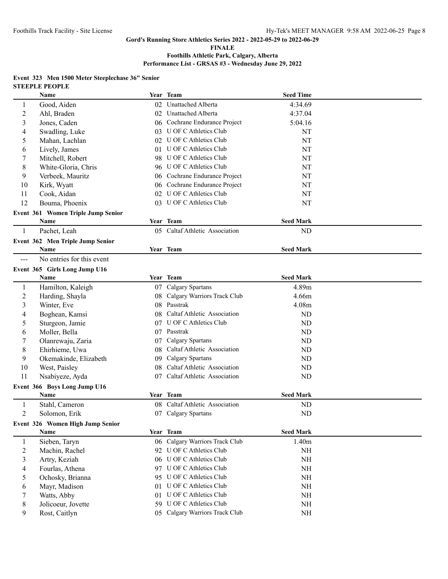**FINALE**

## **Foothills Athletic Park, Calgary, Alberta Performance List - GRSAS #3 - Wednesday June 29, 2022**

#### **Event 323 Men 1500 Meter Steeplechase 36" Senior STEEPLE PEOPLE**

|                | Name                               |     | Year Team                      | <b>Seed Time</b>  |  |
|----------------|------------------------------------|-----|--------------------------------|-------------------|--|
| 1              | Good, Aiden                        |     | 02 Unattached Alberta          | 4:34.69           |  |
| $\overline{c}$ | Ahl, Braden                        |     | 02 Unattached Alberta          | 4:37.04           |  |
| 3              | Jones, Caden                       |     | 06 Cochrane Endurance Project  | 5:04.16           |  |
| 4              | Swadling, Luke                     |     | 03 U OF C Athletics Club       | NT                |  |
| 5              | Mahan, Lachlan                     |     | 02 U OF C Athletics Club       | NT                |  |
| 6              | Lively, James                      |     | 01 U OF C Athletics Club       | NT                |  |
| 7              | Mitchell, Robert                   |     | 98 U OF C Athletics Club       | NT                |  |
| 8              | White-Gloria, Chris                |     | 96 U OF C Athletics Club       | NT                |  |
| 9              | Verbeek, Mauritz                   |     | 06 Cochrane Endurance Project  | NT                |  |
| 10             | Kirk, Wyatt                        |     | 06 Cochrane Endurance Project  | NT                |  |
| 11             | Cook, Aidan                        |     | 02 U OF C Athletics Club       | NT                |  |
| 12             | Bouma, Phoenix                     |     | 03 U OF C Athletics Club       | NT                |  |
|                | Event 361 Women Triple Jump Senior |     |                                |                   |  |
|                | Name                               |     | Year Team                      | <b>Seed Mark</b>  |  |
| 1              | Pachet, Leah                       |     | 05 Caltaf Athletic Association | ND                |  |
|                | Event 362 Men Triple Jump Senior   |     |                                |                   |  |
|                | Name                               |     | Year Team                      | <b>Seed Mark</b>  |  |
| $\frac{1}{2}$  | No entries for this event          |     |                                |                   |  |
|                | Event 365 Girls Long Jump U16      |     |                                |                   |  |
|                | <b>Name</b>                        |     | Year Team                      | <b>Seed Mark</b>  |  |
| 1              | Hamilton, Kaleigh                  | 07  | Calgary Spartans               | 4.89m             |  |
| $\overline{c}$ | Harding, Shayla                    | 08  | Calgary Warriors Track Club    | 4.66m             |  |
| 3              | Winter, Eve                        |     | 08 Passtrak                    | 4.08 <sub>m</sub> |  |
| 4              | Boghean, Kamsi                     | 08  | Caltaf Athletic Association    | <b>ND</b>         |  |
| 5              | Sturgeon, Jamie                    |     | 07 U OF C Athletics Club       | ND                |  |
| 6              | Moller, Bella                      |     | 07 Passtrak                    | <b>ND</b>         |  |
| 7              | Olanrewaju, Zaria                  | 07  | Calgary Spartans               | <b>ND</b>         |  |
| 8              | Ehirhieme, Uwa                     | 08. | Caltaf Athletic Association    | ND                |  |
| 9              | Okemakinde, Elizabeth              | 09. | Calgary Spartans               | <b>ND</b>         |  |
| 10             | West, Paisley                      | 08  | Caltaf Athletic Association    | ND                |  |
| 11             | Nsabiyeze, Ayda                    |     | 07 Caltaf Athletic Association | ND                |  |
|                | Event 366 Boys Long Jump U16       |     |                                |                   |  |
|                | Name                               |     | Year Team                      | <b>Seed Mark</b>  |  |
| 1              | Stahl, Cameron                     |     | 08 Caltaf Athletic Association | ND                |  |
| $\overline{c}$ | Solomon, Erik                      |     | 07 Calgary Spartans            | ND                |  |
|                | Event 326 Women High Jump Senior   |     |                                |                   |  |
|                | Name                               |     | Year Team                      | <b>Seed Mark</b>  |  |
| 1              | Sieben, Taryn                      | 06  | Calgary Warriors Track Club    | 1.40m             |  |
| 2              | Machin, Rachel                     |     | 92 U OF C Athletics Club       | <b>NH</b>         |  |
| 3              | Artry, Keziah                      |     | 06 U OF C Athletics Club       | <b>NH</b>         |  |
| 4              | Fourlas, Athena                    |     | 97 U OF C Athletics Club       | <b>NH</b>         |  |
| 5              | Ochosky, Brianna                   |     | 95 U OF C Athletics Club       | <b>NH</b>         |  |
| 6              | Mayr, Madison                      | 01. | <b>U OF C Athletics Club</b>   | <b>NH</b>         |  |
| 7              | Watts, Abby                        |     | 01 U OF C Athletics Club       | NH                |  |
| 8              | Jolicoeur, Jovette                 |     | 59 U OF C Athletics Club       | <b>NH</b>         |  |
| 9              | Rost, Caitlyn                      |     | 05 Calgary Warriors Track Club | NH                |  |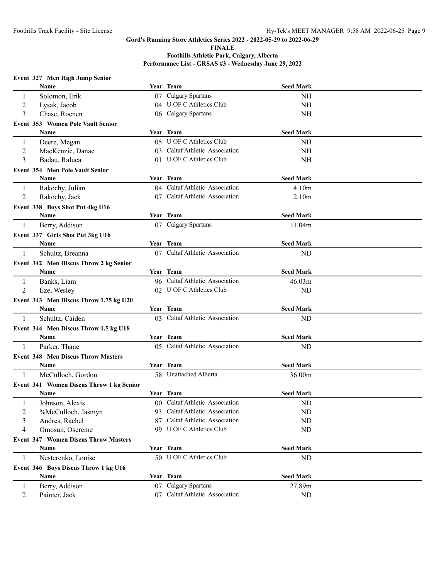**FINALE**

|  |  | Event 327 Men High Jump Senior |
|--|--|--------------------------------|

|                | Name                                        |    | Year Team                      | <b>Seed Mark</b>  |  |
|----------------|---------------------------------------------|----|--------------------------------|-------------------|--|
| 1              | Solomon, Erik                               |    | 07 Calgary Spartans            | <b>NH</b>         |  |
| 2              | Lysak, Jacob                                |    | 04 U OF C Athletics Club       | NH                |  |
| 3              | Chase, Roenen                               |    | 06 Calgary Spartans            | NH                |  |
|                | Event 353 Women Pole Vault Senior           |    |                                |                   |  |
|                | Name                                        |    | Year Team                      | <b>Seed Mark</b>  |  |
| $\mathbf{1}$   | Deere, Megan                                |    | 05 U OF C Athletics Club       | NH                |  |
| $\overline{2}$ | MacKenzie, Danae                            |    | 03 Caltaf Athletic Association | NH                |  |
| 3              | Badau, Raluca                               |    | 01 U OF C Athletics Club       | NH                |  |
|                | Event 354 Men Pole Vault Senior             |    |                                |                   |  |
|                | Name                                        |    | Year Team                      | <b>Seed Mark</b>  |  |
| $\mathbf{1}$   | Rakochy, Julian                             |    | 04 Caltaf Athletic Association | 4.10m             |  |
| $\overline{2}$ | Rakochy, Jack                               |    | 07 Caltaf Athletic Association | 2.10 <sub>m</sub> |  |
|                | Event 338 Boys Shot Put 4kg U16             |    |                                |                   |  |
|                | Name                                        |    | Year Team                      | <b>Seed Mark</b>  |  |
| -1             | Berry, Addison                              |    | 07 Calgary Spartans            | 11.04m            |  |
|                | Event 337 Girls Shot Put 3kg U16            |    |                                |                   |  |
|                | Name                                        |    | Year Team                      | <b>Seed Mark</b>  |  |
| 1              | Schultz, Breanna                            |    | 07 Caltaf Athletic Association | ND                |  |
|                | Event 342 Men Discus Throw 2 kg Senior      |    |                                |                   |  |
|                | Name                                        |    | Year Team                      | <b>Seed Mark</b>  |  |
| 1              | Banks, Liam                                 |    | 96 Caltaf Athletic Association | 46.03m            |  |
| 2              | Eze, Wesley                                 |    | 02 U OF C Athletics Club       | ND                |  |
|                | Event 343 Men Discus Throw 1.75 kg U20      |    |                                |                   |  |
|                | Name                                        |    | Year Team                      | <b>Seed Mark</b>  |  |
| -1             | Schultz, Caiden                             |    | 03 Caltaf Athletic Association | ND                |  |
|                | Event 344 Men Discus Throw 1.5 kg U18       |    |                                |                   |  |
|                | Name                                        |    | Year Team                      | <b>Seed Mark</b>  |  |
| 1              | Parker, Thane                               |    | 05 Caltaf Athletic Association | ND                |  |
|                | <b>Event 348 Men Discus Throw Masters</b>   |    |                                |                   |  |
|                | <b>Name</b>                                 |    | Year Team                      | <b>Seed Mark</b>  |  |
| -1             | McCulloch, Gordon                           |    | 58 Unattached Alberta          | 36.00m            |  |
|                | Event 341 Women Discus Throw 1 kg Senior    |    |                                |                   |  |
|                | <b>Name</b>                                 |    | Year Team                      | <b>Seed Mark</b>  |  |
| 1              | Johnson, Alexis                             |    | 00 Caltaf Athletic Association | N <sub>D</sub>    |  |
| $\overline{2}$ | %McCulloch, Jasmyn                          |    | 93 Caltaf Athletic Association | <b>ND</b>         |  |
| 3              | Andres, Rachel                              | 87 | Caltaf Athletic Association    | <b>ND</b>         |  |
| 4              | Omosun, Osereme                             |    | 99 U OF C Athletics Club       | <b>ND</b>         |  |
|                | <b>Event 347 Women Discus Throw Masters</b> |    |                                |                   |  |
|                | <b>Name</b>                                 |    | Year Team                      | <b>Seed Mark</b>  |  |
| 1              | Nesterenko, Louise                          |    | 50 U OF C Athletics Club       | <b>ND</b>         |  |
|                | Event 346 Boys Discus Throw 1 kg U16        |    |                                |                   |  |
|                | Name                                        |    | Year Team                      | <b>Seed Mark</b>  |  |
| 1              | Berry, Addison                              |    | 07 Calgary Spartans            | 27.89m            |  |
| 2              | Painter, Jack                               |    | 07 Caltaf Athletic Association | ND                |  |